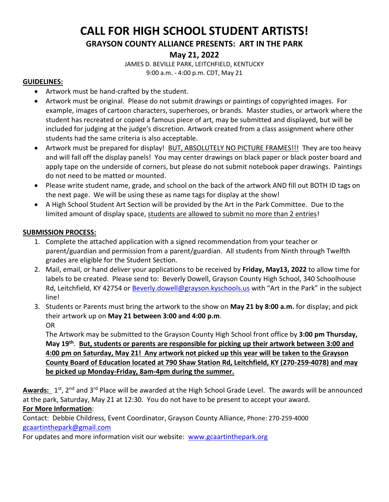# **CALL FOR HIGH SCHOOL STUDENT ARTISTS!**

**GRAYSON COUNTY ALLIANCE PRESENTS: ART IN THE PARK**

## **May 21, 2022**

JAMES D. BEVILLE PARK, LEITCHFIELD, KENTUCKY 9:00 a.m. - 4:00 p.m. CDT, May 21

#### **GUIDELINES:**

- Artwork must be hand-crafted by the student.
- Artwork must be original. Please do not submit drawings or paintings of copyrighted images. For example, images of cartoon characters, superheroes, or brands. Master studies, or artwork where the student has recreated or copied a famous piece of art, may be submitted and displayed, but will be included for judging at the judge's discretion. Artwork created from a class assignment where other students had the same criteria is also acceptable.
- Artwork must be prepared for display! BUT, ABSOLUTELY NO PICTURE FRAMES!!! They are too heavy and will fall off the display panels! You may center drawings on black paper or black poster board and apply tape on the underside of corners, but please do not submit notebook paper drawings. Paintings do not need to be matted or mounted.
- Please write student name, grade, and school on the back of the artwork AND fill out BOTH ID tags on the next page. We will be using these as name tags for display at the show!
- A High School Student Art Section will be provided by the Art in the Park Committee. Due to the limited amount of display space, students are allowed to submit no more than 2 entries!

### **SUBMISSION PROCESS:**

- 1. Complete the attached application with a signed recommendation from your teacher or parent/guardian and permission from a parent/guardian. All students from Ninth through Twelfth grades are eligible for the Student Section.
- 2. Mail, email, or hand deliver your applications to be received by **Friday, May13, 2022** to allow time for labels to be created. Please send to: Beverly Dowell, Grayson County High School, 340 Schoolhouse Rd, Leitchfield, KY 42754 or [Beverly.dowell@grayson.kyschools.us](mailto:Beverly.dowell@grayson.kyschools.us) with "Art in the Park" in the subject line!
- 3. Students or Parents must bring the artwork to the show on **May 21 by 8:00 a.m.** for display; and pick their artwork up on **May 21 between 3:00 and 4:00 p.m**. OR

The Artwork may be submitted to the Grayson County High School front office by **3:00 pm Thursday, May 19th** . **But, students or parents are responsible for picking up their artwork between 3:00 and 4:00 pm on Saturday, May 21! Any artwork not picked up this year will be taken to the Grayson County Board of Education located at 790 Shaw Station Rd, Leitchfield, KY (270-259-4078) and may be picked up Monday-Friday, 8am-4pm during the summer.** 

Awards: 1<sup>st</sup>, 2<sup>nd</sup> and 3<sup>rd</sup> Place will be awarded at the High School Grade Level. The awards will be announced at the park, Saturday, May 21 at 12:30. You do not have to be present to accept your award. **For More Information**:

Contact: Debbie Childress, Event Coordinator, Grayson County Alliance, Phone: 270-259-4000 [gcaartinthepark@gmail.com](mailto:gcaartinthepark@gmail.com)

For updates and more information visit our website: [www.gcaartinthepark.org](http://www.gcaartinthepark.org/)